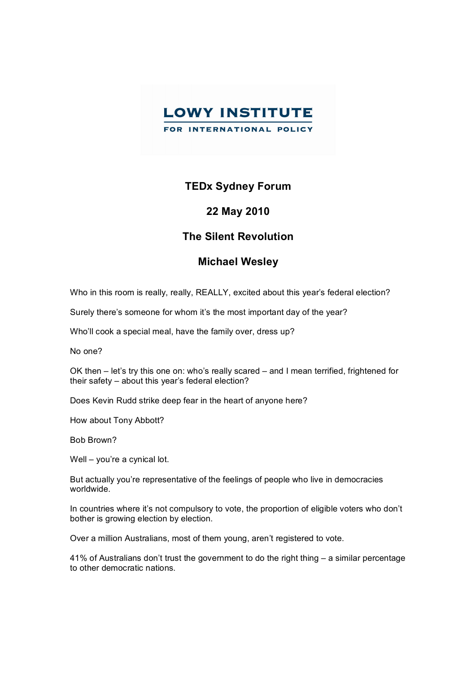

## **TEDx Sydney Forum**

## **22 May 2010**

## **The Silent Revolution**

## **Michael Wesley**

Who in this room is really, really, REALLY, excited about this year's federal election?

Surely there's someone for whom it's the most important day of the year?

Who'll cook a special meal, have the family over, dress up?

No one?

OK then – let's try this one on: who's really scared – and I mean terrified, frightened for their safety – about this year's federal election?

Does Kevin Rudd strike deep fear in the heart of anyone here?

How about Tony Abbott?

Bob Brown?

Well – you're a cynical lot.

But actually you're representative of the feelings of people who live in democracies worldwide.

In countries where it's not compulsory to vote, the proportion of eligible voters who don't bother is growing election by election.

Over a million Australians, most of them young, aren't registered to vote.

41% of Australians don't trust the government to do the right thing – a similar percentage to other democratic nations.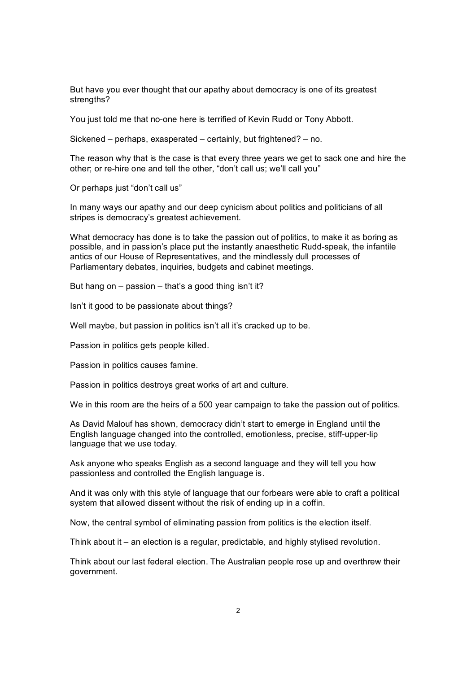But have you ever thought that our apathy about democracy is one of its greatest strengths?

You just told me that no-one here is terrified of Kevin Rudd or Tony Abbott.

Sickened – perhaps, exasperated – certainly, but frightened? – no.

The reason why that is the case is that every three years we get to sack one and hire the other; or re-hire one and tell the other, "don't call us; we'll call you"

Or perhaps just "don't call us"

In many ways our apathy and our deep cynicism about politics and politicians of all stripes is democracy's greatest achievement.

What democracy has done is to take the passion out of politics, to make it as boring as possible, and in passion's place put the instantly anaesthetic Rudd-speak, the infantile antics of our House of Representatives, and the mindlessly dull processes of Parliamentary debates, inquiries, budgets and cabinet meetings.

But hang on  $-$  passion  $-$  that's a good thing isn't it?

Isn't it good to be passionate about things?

Well maybe, but passion in politics isn't all it's cracked up to be.

Passion in politics gets people killed.

Passion in politics causes famine.

Passion in politics destroys great works of art and culture.

We in this room are the heirs of a 500 year campaign to take the passion out of politics.

As David Malouf has shown, democracy didn't start to emerge in England until the English language changed into the controlled, emotionless, precise, stiff-upper-lip language that we use today.

Ask anyone who speaks English as a second language and they will tell you how passionless and controlled the English language is.

And it was only with this style of language that our forbears were able to craft a political system that allowed dissent without the risk of ending up in a coffin.

Now, the central symbol of eliminating passion from politics is the election itself.

Think about it – an election is a regular, predictable, and highly stylised revolution.

Think about our last federal election. The Australian people rose up and overthrew their government.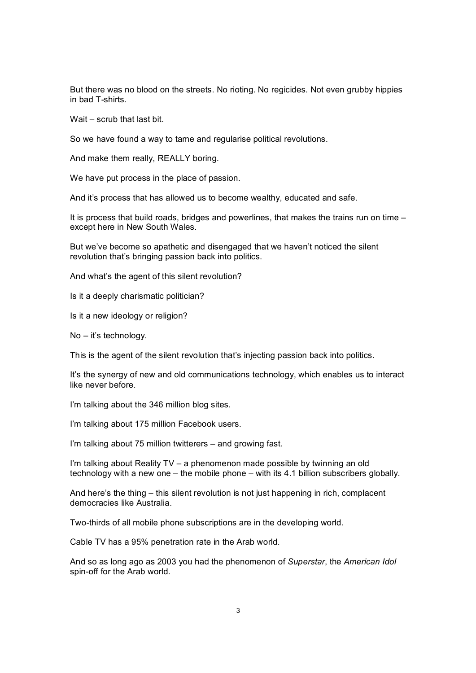But there was no blood on the streets. No rioting. No regicides. Not even grubby hippies in bad T-shirts.

Wait – scrub that last bit.

So we have found a way to tame and regularise political revolutions.

And make them really, REALLY boring.

We have put process in the place of passion.

And it's process that has allowed us to become wealthy, educated and safe.

It is process that build roads, bridges and powerlines, that makes the trains run on time – except here in New South Wales.

But we've become so apathetic and disengaged that we haven't noticed the silent revolution that's bringing passion back into politics.

And what's the agent of this silent revolution?

Is it a deeply charismatic politician?

Is it a new ideology or religion?

No – it's technology.

This is the agent of the silent revolution that's injecting passion back into politics.

It's the synergy of new and old communications technology, which enables us to interact like never before.

I'm talking about the 346 million blog sites.

I'm talking about 175 million Facebook users.

I'm talking about 75 million twitterers – and growing fast.

I'm talking about Reality TV – a phenomenon made possible by twinning an old technology with a new one – the mobile phone – with its 4.1 billion subscribers globally.

And here's the thing – this silent revolution is not just happening in rich, complacent democracies like Australia.

Two-thirds of all mobile phone subscriptions are in the developing world.

Cable TV has a 95% penetration rate in the Arab world.

And so as long ago as 2003 you had the phenomenon of *Superstar*, the *American Idol* spin-off for the Arab world.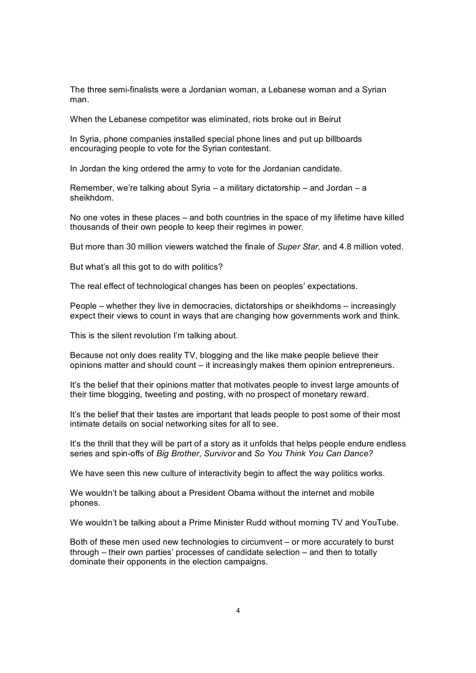The three semifinalists were a Jordanian woman, a Lebanese woman and a Syrian man.

When the Lebanese competitor was eliminated, riots broke out in Beirut

In Syria, phone companies installed special phone lines and put up billboards encouraging people to vote for the Syrian contestant.

In Jordan the king ordered the army to vote for the Jordanian candidate.

Remember, we're talking about Syria – a military dictatorship – and Jordan – a sheikhdom.

No one votes in these places – and both countries in the space of my lifetime have killed thousands of their own people to keep their regimes in power.

But more than 30 million viewers watched the finale of *Super Star,* and 4.8 million voted.

But what's all this got to do with politics?

The real effect of technological changes has been on peoples' expectations.

People – whether they live in democracies, dictatorships or sheikhdoms – increasingly expect their views to count in ways that are changing how governments work and think.

This is the silent revolution I'm talking about.

Because not only does reality TV, blogging and the like make people believe their opinions matter and should count – it increasingly makes them opinion entrepreneurs.

It's the belief that their opinions matter that motivates people to invest large amounts of their time blogging, tweeting and posting, with no prospect of monetary reward.

It's the belief that their tastes are important that leads people to post some of their most intimate details on social networking sites for all to see.

It's the thrill that they will be part of a story as it unfolds that helps people endure endless series and spinoffs of *Big Brother*, *Survivor* and *So You Think You Can Dance?*

We have seen this new culture of interactivity begin to affect the way politics works.

We wouldn't be talking about a President Obama without the internet and mobile phones.

We wouldn't be talking about a Prime Minister Rudd without morning TV and YouTube.

Both of these men used new technologies to circumvent – or more accurately to burst through – their own parties' processes of candidate selection – and then to totally dominate their opponents in the election campaigns.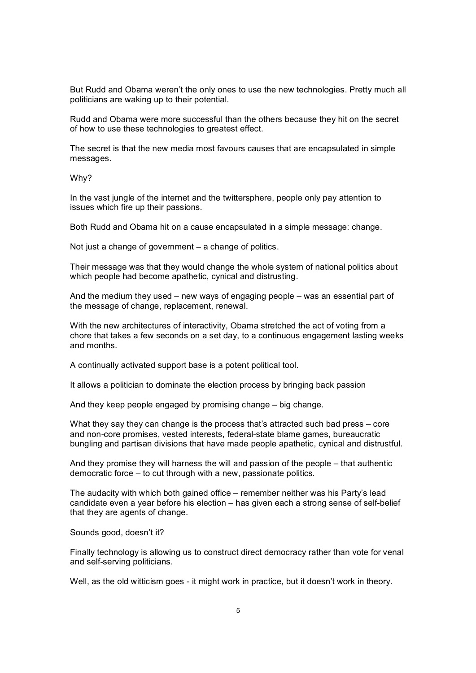But Rudd and Obama weren't the only ones to use the new technologies. Pretty much all politicians are waking up to their potential.

Rudd and Obama were more successful than the others because they hit on the secret of how to use these technologies to greatest effect.

The secret is that the new media most favours causes that are encapsulated in simple messages.

Why?

In the vast jungle of the internet and the twittersphere, people only pay attention to issues which fire up their passions.

Both Rudd and Obama hit on a cause encapsulated in a simple message: change.

Not just a change of government – a change of politics.

Their message was that they would change the whole system of national politics about which people had become apathetic, cynical and distrusting.

And the medium they used – new ways of engaging people – was an essential part of the message of change, replacement, renewal.

With the new architectures of interactivity, Obama stretched the act of voting from a chore that takes a few seconds on a set day, to a continuous engagement lasting weeks and months.

A continually activated support base is a potent political tool.

It allows a politician to dominate the election process by bringing back passion

And they keep people engaged by promising change – big change.

What they say they can change is the process that's attracted such bad press – core and non-core promises, vested interests, federal-state blame games, bureaucratic bungling and partisan divisions that have made people apathetic, cynical and distrustful.

And they promise they will harness the will and passion of the people – that authentic democratic force – to cut through with a new, passionate politics.

The audacity with which both gained office – remember neither was his Party's lead candidate even a year before his election  $-$  has given each a strong sense of self-belief that they are agents of change.

Sounds good, doesn't it?

Finally technology is allowing us to construct direct democracy rather than vote for venal and self-serving politicians.

Well, as the old witticism goes - it might work in practice, but it doesn't work in theory.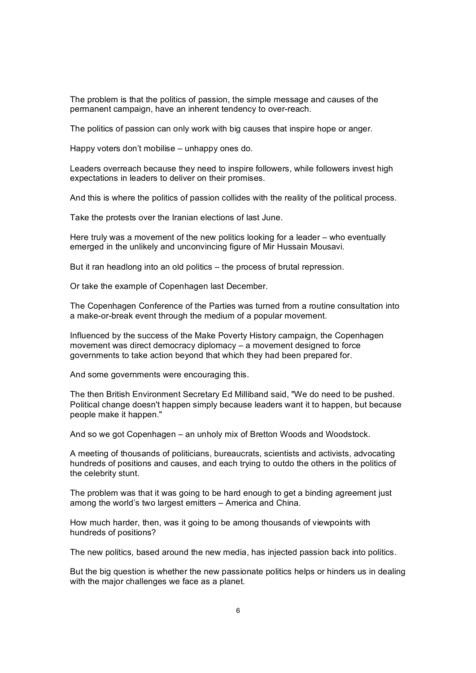The problem is that the politics of passion, the simple message and causes of the permanent campaign, have an inherent tendency to over-reach.

The politics of passion can only work with big causes that inspire hope or anger.

Happy voters don't mobilise – unhappy ones do.

Leaders overreach because they need to inspire followers, while followers invest high expectations in leaders to deliver on their promises.

And this is where the politics of passion collides with the reality of the political process.

Take the protests over the Iranian elections of last June.

Here truly was a movement of the new politics looking for a leader – who eventually emerged in the unlikely and unconvincing figure of Mir Hussain Mousavi.

But it ran headlong into an old politics – the process of brutal repression.

Or take the example of Copenhagen last December.

The Copenhagen Conference of the Parties was turned from a routine consultation into a make-or-break event through the medium of a popular movement.

Influenced by the success of the Make Poverty History campaign, the Copenhagen movement was direct democracy diplomacy – a movement designed to force governments to take action beyond that which they had been prepared for.

And some governments were encouraging this.

The then British Environment Secretary Ed Milliband said, "We do need to be pushed. Political change doesn't happen simply because leaders want it to happen, but because people make it happen."

And so we got Copenhagen – an unholy mix of Bretton Woods and Woodstock.

A meeting of thousands of politicians, bureaucrats, scientists and activists, advocating hundreds of positions and causes, and each trying to outdo the others in the politics of the celebrity stunt.

The problem was that it was going to be hard enough to get a binding agreement just among the world's two largest emitters – America and China.

How much harder, then, was it going to be among thousands of viewpoints with hundreds of positions?

The new politics, based around the new media, has injected passion back into politics.

But the big question is whether the new passionate politics helps or hinders us in dealing with the major challenges we face as a planet.